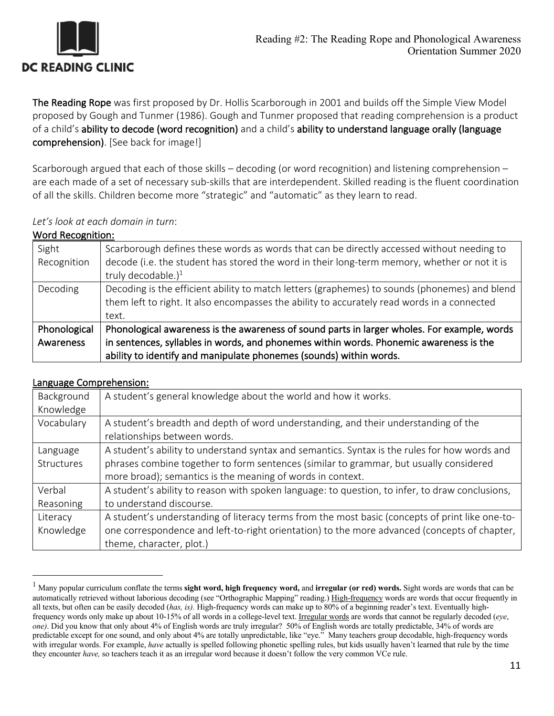

The Reading Rope was first proposed by Dr. Hollis Scarborough in 2001 and builds off the Simple View Model proposed by Gough and Tunmer (1986). Gough and Tunmer proposed that reading comprehension is a product of a child's ability to decode (word recognition) and a child's ability to understand language orally (language comprehension). [See back for image!]

Scarborough argued that each of those skills – decoding (or word recognition) and listening comprehension – are each made of a set of necessary sub-skills that are interdependent. Skilled reading is the fluent coordination of all the skills. Children become more "strategic" and "automatic" as they learn to read.

## *Let's look at each domain in turn*:

## Word Recognition:

| Sight        | Scarborough defines these words as words that can be directly accessed without needing to     |
|--------------|-----------------------------------------------------------------------------------------------|
| Recognition  | decode (i.e. the student has stored the word in their long-term memory, whether or not it is  |
|              | truly decodable.) <sup>1</sup>                                                                |
| Decoding     | Decoding is the efficient ability to match letters (graphemes) to sounds (phonemes) and blend |
|              | them left to right. It also encompasses the ability to accurately read words in a connected   |
|              | text.                                                                                         |
| Phonological | Phonological awareness is the awareness of sound parts in larger wholes. For example, words   |
| Awareness    | in sentences, syllables in words, and phonemes within words. Phonemic awareness is the        |
|              | ability to identify and manipulate phonemes (sounds) within words.                            |

## Language Comprehension:

| Background | A student's general knowledge about the world and how it works.                                 |
|------------|-------------------------------------------------------------------------------------------------|
| Knowledge  |                                                                                                 |
| Vocabulary | A student's breadth and depth of word understanding, and their understanding of the             |
|            | relationships between words.                                                                    |
| Language   | A student's ability to understand syntax and semantics. Syntax is the rules for how words and   |
| Structures | phrases combine together to form sentences (similar to grammar, but usually considered          |
|            | more broad); semantics is the meaning of words in context.                                      |
| Verbal     | A student's ability to reason with spoken language: to question, to infer, to draw conclusions, |
| Reasoning  | to understand discourse.                                                                        |
| Literacy   | A student's understanding of literacy terms from the most basic (concepts of print like one-to- |
| Knowledge  | one correspondence and left-to-right orientation) to the more advanced (concepts of chapter,    |
|            | theme, character, plot.)                                                                        |

<sup>1</sup> Many popular curriculum conflate the terms **sight word, high frequency word,** and **irregular (or red) words.** Sight words are words that can be automatically retrieved without laborious decoding (see "Orthographic Mapping" reading.) High-frequency words are words that occur frequently in all texts, but often can be easily decoded (*has, is).* High-frequency words can make up to 80% of a beginning reader's text. Eventually highfrequency words only make up about 10-15% of all words in a college-level text. Irregular words are words that cannot be regularly decoded (*eye*, *one)*. Did you know that only about 4% of English words are truly irregular? 50% of English words are totally predictable, 34% of words are predictable except for one sound, and only about 4% are totally unpredictable, like "eye." Many teachers group decodable, high-frequency words with irregular words. For example, *have* actually is spelled following phonetic spelling rules, but kids usually haven't learned that rule by the time they encounter *have,* so teachers teach it as an irregular word because it doesn't follow the very common VCe rule.